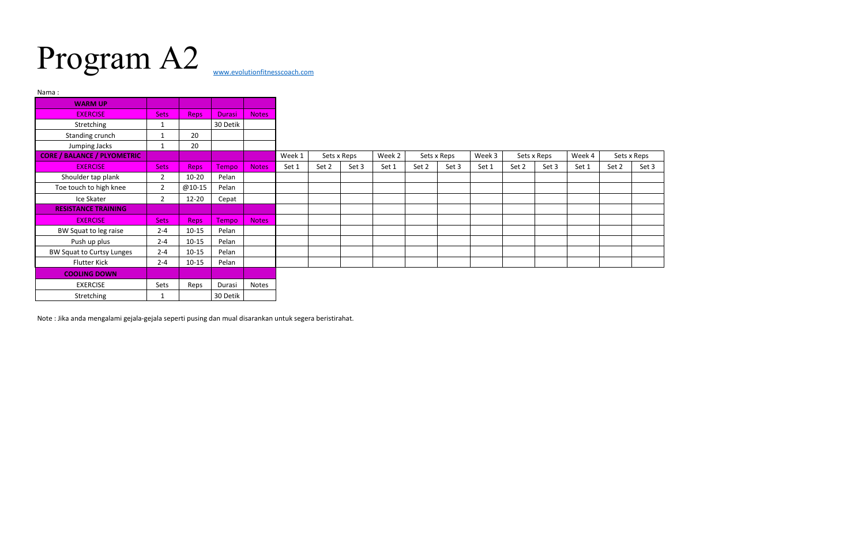## Program A2

| Nama:                              |                |             |          |              |        |             |       |        |             |       |        |             |       |        |             |       |
|------------------------------------|----------------|-------------|----------|--------------|--------|-------------|-------|--------|-------------|-------|--------|-------------|-------|--------|-------------|-------|
| <b>WARM UP</b>                     |                |             |          |              |        |             |       |        |             |       |        |             |       |        |             |       |
| <b>EXERCISE</b>                    | Sets           | <b>Reps</b> | Durasi   | Notes        |        |             |       |        |             |       |        |             |       |        |             |       |
| Stretching                         |                |             | 30 Detik |              |        |             |       |        |             |       |        |             |       |        |             |       |
| Standing crunch                    |                | 20          |          |              |        |             |       |        |             |       |        |             |       |        |             |       |
| Jumping Jacks                      | 1              | 20          |          |              |        |             |       |        |             |       |        |             |       |        |             |       |
| <b>CORE / BALANCE / PLYOMETRIC</b> |                |             |          |              | Week 1 | Sets x Reps |       | Week 2 | Sets x Reps |       | Week 3 | Sets x Reps |       | Week 4 | Sets x Reps |       |
| <b>EXERCISE</b>                    | <b>Sets</b>    | <b>Reps</b> | Tempo    | <b>Notes</b> | Set 1  | Set 2       | Set 3 | Set 1  | Set 2       | Set 3 | Set 1  | Set 2       | Set 3 | Set 1  | Set 2       | Set 3 |
| Shoulder tap plank                 | $\overline{2}$ | $10 - 20$   | Pelan    |              |        |             |       |        |             |       |        |             |       |        |             |       |
| Toe touch to high knee             | $\overline{2}$ | @10-15      | Pelan    |              |        |             |       |        |             |       |        |             |       |        |             |       |
| Ice Skater                         | $\overline{2}$ | $12 - 20$   | Cepat    |              |        |             |       |        |             |       |        |             |       |        |             |       |
| <b>RESISTANCE TRAINING</b>         |                |             |          |              |        |             |       |        |             |       |        |             |       |        |             |       |
| <b>EXERCISE</b>                    | <b>Sets</b>    | <b>Reps</b> | Tempo    | <b>Notes</b> |        |             |       |        |             |       |        |             |       |        |             |       |
| BW Squat to leg raise              | $2 - 4$        | $10 - 15$   | Pelan    |              |        |             |       |        |             |       |        |             |       |        |             |       |
| Push up plus                       | $2 - 4$        | $10 - 15$   | Pelan    |              |        |             |       |        |             |       |        |             |       |        |             |       |
| BW Squat to Curtsy Lunges          | $2 - 4$        | $10 - 15$   | Pelan    |              |        |             |       |        |             |       |        |             |       |        |             |       |
| <b>Flutter Kick</b>                | $2 - 4$        | $10 - 15$   | Pelan    |              |        |             |       |        |             |       |        |             |       |        |             |       |
| <b>COOLING DOWN</b>                |                |             |          |              |        |             |       |        |             |       |        |             |       |        |             |       |
| <b>EXERCISE</b>                    | Sets           | Reps        | Durasi   | Notes        |        |             |       |        |             |       |        |             |       |        |             |       |
| Stretching                         |                |             | 30 Detik |              |        |             |       |        |             |       |        |             |       |        |             |       |

Note : Jika anda mengalami gejala-gejala seperti pusing dan mual disarankan untuk segera beristirahat.

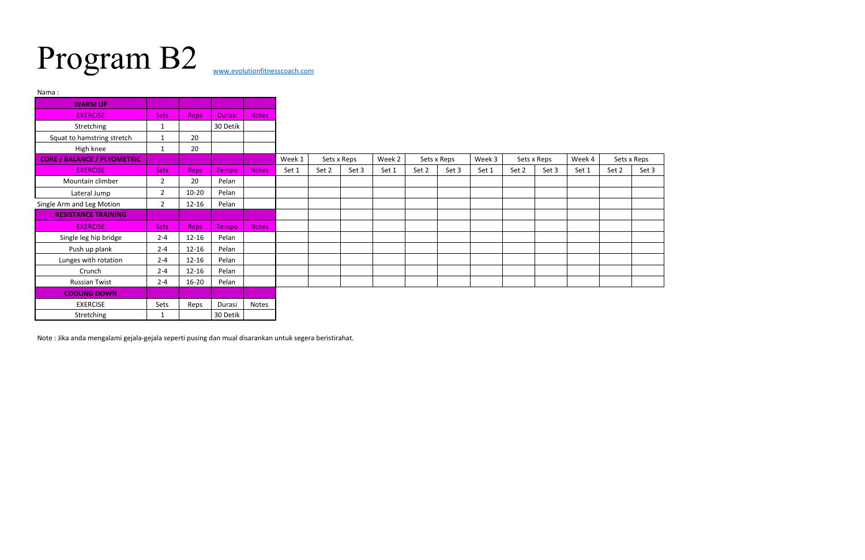## Program B2

| Nama:                              |                |             |          |              |        |             |       |        |             |       |        |             |       |        |             |       |
|------------------------------------|----------------|-------------|----------|--------------|--------|-------------|-------|--------|-------------|-------|--------|-------------|-------|--------|-------------|-------|
| <b>WARM UP</b>                     |                |             |          |              |        |             |       |        |             |       |        |             |       |        |             |       |
| <b>EXERCISE</b>                    | <b>Sets</b>    | <b>Reps</b> | Durasi   | <b>Notes</b> |        |             |       |        |             |       |        |             |       |        |             |       |
| Stretching                         | $\mathbf{1}$   |             | 30 Detik |              |        |             |       |        |             |       |        |             |       |        |             |       |
| Squat to hamstring stretch         | 1              | 20          |          |              |        |             |       |        |             |       |        |             |       |        |             |       |
| High knee                          | $\mathbf 1$    | 20          |          |              |        |             |       |        |             |       |        |             |       |        |             |       |
| <b>CORE / BALANCE / PLYOMETRIC</b> |                |             |          |              | Week 1 | Sets x Reps |       | Week 2 | Sets x Reps |       | Week 3 | Sets x Reps |       | Week 4 | Sets x Reps |       |
| <b>EXERCISE</b>                    | <b>Sets</b>    | <b>Reps</b> | Tempo    | <b>Notes</b> | Set 1  | Set 2       | Set 3 | Set 1  | Set 2       | Set 3 | Set 1  | Set 2       | Set 3 | Set 1  | Set 2       | Set 3 |
| Mountain climber                   | $\overline{2}$ | 20          | Pelan    |              |        |             |       |        |             |       |        |             |       |        |             |       |
| Lateral Jump                       | $\overline{2}$ | $10 - 20$   | Pelan    |              |        |             |       |        |             |       |        |             |       |        |             |       |
| Single Arm and Leg Motion          | $\overline{2}$ | $12 - 16$   | Pelan    |              |        |             |       |        |             |       |        |             |       |        |             |       |
| <b>RESISTANCE TRAINING</b>         |                |             |          |              |        |             |       |        |             |       |        |             |       |        |             |       |
| <b>EXERCISE</b>                    | <b>Sets</b>    | <b>Reps</b> | Tempo    | Notes        |        |             |       |        |             |       |        |             |       |        |             |       |
| Single leg hip bridge              | $2 - 4$        | $12 - 16$   | Pelan    |              |        |             |       |        |             |       |        |             |       |        |             |       |
| Push up plank                      | $2 - 4$        | $12 - 16$   | Pelan    |              |        |             |       |        |             |       |        |             |       |        |             |       |
| Lunges with rotation               | $2 - 4$        | $12 - 16$   | Pelan    |              |        |             |       |        |             |       |        |             |       |        |             |       |
| Crunch                             | $2 - 4$        | $12 - 16$   | Pelan    |              |        |             |       |        |             |       |        |             |       |        |             |       |
| <b>Russian Twist</b>               | $2 - 4$        | $16 - 20$   | Pelan    |              |        |             |       |        |             |       |        |             |       |        |             |       |
| <b>COOLING DOWN</b>                |                |             |          |              |        |             |       |        |             |       |        |             |       |        |             |       |
| <b>EXERCISE</b>                    | Sets           | Reps        | Durasi   | Notes        |        |             |       |        |             |       |        |             |       |        |             |       |
| Stretching                         | 1              |             | 30 Detik |              |        |             |       |        |             |       |        |             |       |        |             |       |

Note : Jika anda mengalami gejala-gejala seperti pusing dan mual disarankan untuk segera beristirahat.